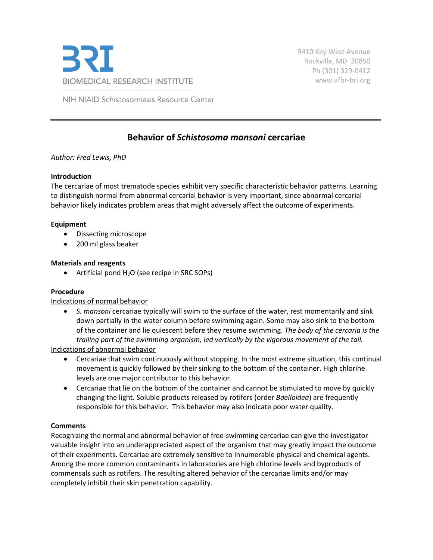

9410 Key West Avenue Rockville, MD 20850 Ph (301) 329-0412 [www.afbr-bri.org](http://www.afbr-bri.org/)

NIH NIAID Schistosomiasis Resource Center

# **Behavior of** *Schistosoma mansoni* **cercariae**

## *Author: Fred Lewis, PhD*

### **Introduction**

The cercariae of most trematode species exhibit very specific characteristic behavior patterns. Learning to distinguish normal from abnormal cercarial behavior is very important, since abnormal cercarial behavior likely indicates problem areas that might adversely affect the outcome of experiments.

### **Equipment**

- Dissecting microscope
- 200 ml glass beaker

### **Materials and reagents**

• Artificial pond  $H_2O$  (see recipe in SRC SOPs)

## **Procedure**

Indications of normal behavior

• *S. mansoni* cercariae typically will swim to the surface of the water, rest momentarily and sink down partially in the water column before swimming again. Some may also sink to the bottom of the container and lie quiescent before they resume swimming. *The body of the cercaria is the trailing part of the swimming organism, led vertically by the vigorous movement of the tail.*

Indications of abnormal behavior

- Cercariae that swim continuously without stopping. In the most extreme situation, this continual movement is quickly followed by their sinking to the bottom of the container. High chlorine levels are one major contributor to this behavior.
- Cercariae that lie on the bottom of the container and cannot be stimulated to move by quickly changing the light. Soluble products released by rotifers (order *Bdelloidea*) are frequently responsible for this behavior. This behavior may also indicate poor water quality.

## **Comments**

Recognizing the normal and abnormal behavior of free-swimming cercariae can give the investigator valuable insight into an underappreciated aspect of the organism that may greatly impact the outcome of their experiments. Cercariae are extremely sensitive to innumerable physical and chemical agents. Among the more common contaminants in laboratories are high chlorine levels and byproducts of commensals such as rotifers. The resulting altered behavior of the cercariae limits and/or may completely inhibit their skin penetration capability.